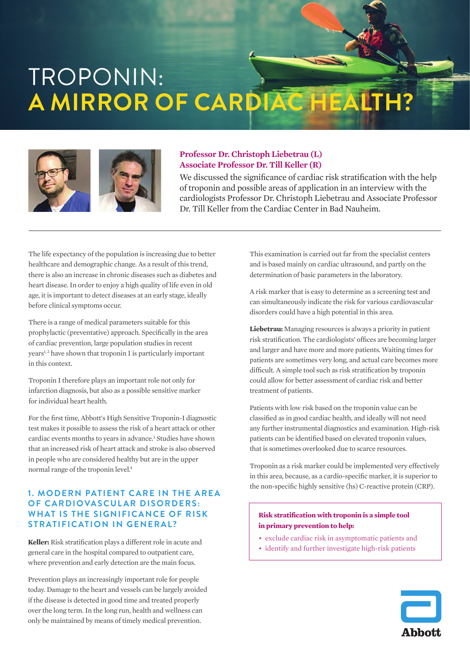# TROPONIN: **A MIRROR OF CARDIAC HEALTH?**



#### **Professor Dr. Christoph Liebetrau (L) Associate Professor Dr. Till Keller (R)**

We discussed the significance of cardiac risk stratification with the help of troponin and possible areas of application in an interview with the cardiologists Professor Dr. Christoph Liebetrau and Associate Professor Dr. Till Keller from the Cardiac Center in Bad Nauheim.

The life expectancy of the population is increasing due to better healthcare and demographic change. As a result of this trend, there is also an increase in chronic diseases such as diabetes and heart disease. In order to enjoy a high quality of life even in old age, it is important to detect diseases at an early stage, ideally before clinical symptoms occur.

There is a range of medical parameters suitable for this prophylactic (preventative) approach. Specifically in the area of cardiac prevention, large population studies in recent years<sup>1, 2</sup> have shown that troponin I is particularly important in this context.

Troponin I therefore plays an important role not only for infarction diagnosis, but also as a possible sensitive marker for individual heart health.

For the first time, Abbott's High Sensitive Troponin-I diagnostic test makes it possible to assess the risk of a heart attack or other cardiac events months to years in advance.<sup>3</sup> Studies have shown that an increased risk of heart attack and stroke is also observed in people who are considered healthy but are in the upper normal range of the troponin level.4

# **1. MODERN PATIENT CARE IN THE AREA OF CARDIOVASCULAR DISORDERS: WHAT IS THE SIGNIFICANCE OF RISK STRATIFICATION IN GENERAL?**

**Keller:** Risk stratification plays a different role in acute and general care in the hospital compared to outpatient care, where prevention and early detection are the main focus.

Prevention plays an increasingly important role for people today. Damage to the heart and vessels can be largely avoided if the disease is detected in good time and treated properly over the long term. In the long run, health and wellness can only be maintained by means of timely medical prevention.

This examination is carried out far from the specialist centers and is based mainly on cardiac ultrasound, and partly on the determination of basic parameters in the laboratory.

A risk marker that is easy to determine as a screening test and can simultaneously indicate the risk for various cardiovascular disorders could have a high potential in this area.

**Liebetrau:** Managing resources is always a priority in patient risk stratification. The cardiologists' offices are becoming larger and larger and have more and more patients. Waiting times for patients are sometimes very long, and actual care becomes more difficult. A simple tool such as risk stratification by troponin could allow for better assessment of cardiac risk and better treatment of patients.

Patients with low risk based on the troponin value can be classified as in good cardiac health, and ideally will not need any further instrumental diagnostics and examination. High-risk patients can be identified based on elevated troponin values, that is sometimes overlooked due to scarce resources.

Troponin as a risk marker could be implemented very effectively in this area, because, as a cardio-specific marker, it is superior to the non-specific highly sensitive (hs) C-reactive protein (CRP).

#### **Risk stratification with troponin is a simple tool in primary prevention to help:**

- exclude cardiac risk in asymptomatic patients and
- identify and further investigate high-risk patients

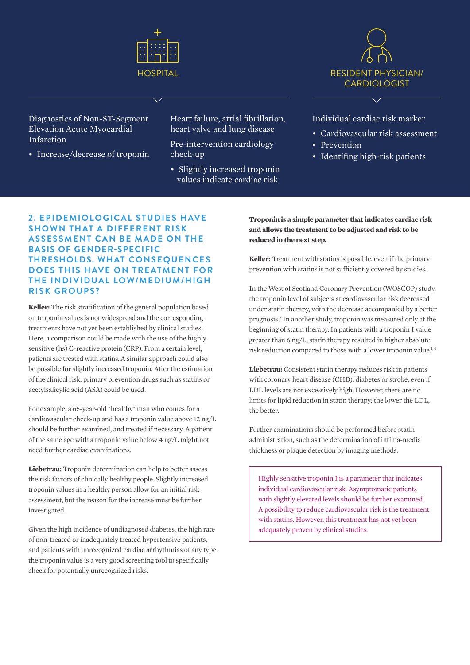



Diagnostics of Non-ST-Segment Elevation Acute Myocardial Infarction

• Increase/decrease of troponin

Heart failure, atrial fibrillation, heart valve and lung disease

Pre-intervention cardiology check-up

• Slightly increased troponin values indicate cardiac risk

Individual cardiac risk marker

- Cardiovascular risk assessment
- Prevention
- Identifing high-risk patients

# **2. EPIDEMIOLOGICAL STUDIES HAVE SHOWN THAT A DIFFERENT RISK ASSESSMENT CAN BE MADE ON THE BASIS OF GENDER-SPECIFIC THRESHOLDS. WHAT CONSEQUENCES DOES THIS HAVE ON TREATMENT FOR THE INDIVIDUAL LOW/MEDIUM/HIGH RISK GROUPS?**

**Keller:** The risk stratification of the general population based on troponin values is not widespread and the corresponding treatments have not yet been established by clinical studies. Here, a comparison could be made with the use of the highly sensitive (hs) C-reactive protein (CRP). From a certain level, patients are treated with statins. A similar approach could also be possible for slightly increased troponin. After the estimation of the clinical risk, primary prevention drugs such as statins or acetylsalicylic acid (ASA) could be used.

For example, a 65-year-old "healthy" man who comes for a cardiovascular check-up and has a troponin value above 12 ng/L should be further examined, and treated if necessary. A patient of the same age with a troponin value below 4 ng/L might not need further cardiac examinations.

**Liebetrau:** Troponin determination can help to better assess the risk factors of clinically healthy people. Slightly increased troponin values in a healthy person allow for an initial risk assessment, but the reason for the increase must be further investigated.

Given the high incidence of undiagnosed diabetes, the high rate of non-treated or inadequately treated hypertensive patients, and patients with unrecognized cardiac arrhythmias of any type, the troponin value is a very good screening tool to specifically check for potentially unrecognized risks.

**Troponin is a simple parameter that indicates cardiac risk and allows the treatment to be adjusted and risk to be reduced in the next step.** 

**Keller:** Treatment with statins is possible, even if the primary prevention with statins is not sufficiently covered by studies.

In the West of Scotland Coronary Prevention (WOSCOP) study, the troponin level of subjects at cardiovascular risk decreased under statin therapy, with the decrease accompanied by a better prognosis.<sup>5</sup> In another study, troponin was measured only at the beginning of statin therapy. In patients with a troponin I value greater than 6 ng/L, statin therapy resulted in higher absolute risk reduction compared to those with a lower troponin value.<sup>1,6</sup>

**Liebetrau:** Consistent statin therapy reduces risk in patients with coronary heart disease (CHD), diabetes or stroke, even if LDL levels are not excessively high. However, there are no limits for lipid reduction in statin therapy; the lower the LDL, the better.

Further examinations should be performed before statin administration, such as the determination of intima-media thickness or plaque detection by imaging methods.

Highly sensitive troponin I is a parameter that indicates individual cardiovascular risk. Asymptomatic patients with slightly elevated levels should be further examined. A possibility to reduce cardiovascular risk is the treatment with statins. However, this treatment has not yet been adequately proven by clinical studies.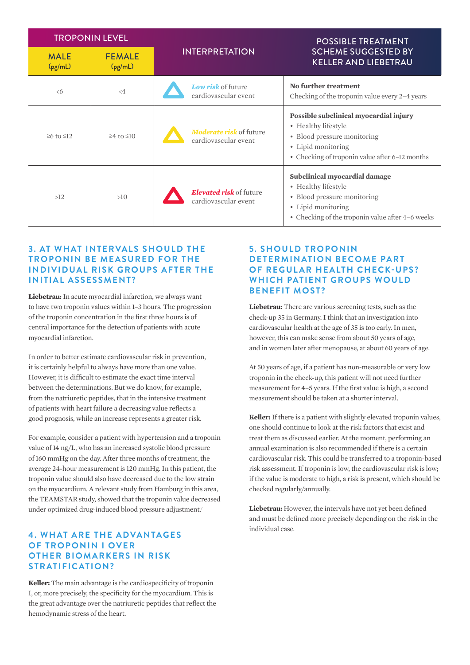| <b>TROPONIN LEVEL</b>  |                          |                                                        | <b>POSSIBLE TREATMENT</b>                                                                                                                                            |
|------------------------|--------------------------|--------------------------------------------------------|----------------------------------------------------------------------------------------------------------------------------------------------------------------------|
| <b>MALE</b><br>(pg/mL) | <b>FEMALE</b><br>(pg/mL) | <b>INTERPRETATION</b>                                  | <b>SCHEME SUGGESTED BY</b><br><b>KELLER AND LIEBETRAU</b>                                                                                                            |
| $\leq 6$               | $\leq 4$                 | Low risk of future<br>cardiovascular event             | <b>No further treatment</b><br>Checking of the troponin value every 2–4 years                                                                                        |
| $\geq 6$ to $\leq 12$  | $\geq 4$ to $\leq 10$    | <b>Moderate risk of future</b><br>cardiovascular event | Possible subclinical myocardial injury<br>• Healthy lifestyle<br>• Blood pressure monitoring<br>• Lipid monitoring<br>• Checking of troponin value after 6–12 months |
| >12                    | >10                      | Elevated risk of future<br>cardiovascular event        | Subclinical myocardial damage<br>• Healthy lifestyle<br>• Blood pressure monitoring<br>• Lipid monitoring<br>• Checking of the troponin value after 4-6 weeks        |

### **3. AT WHAT INTERVALS SHOULD THE TROPONIN BE MEASURED FOR THE INDIVIDUAL RISK GROUPS AFTER THE INITIAL ASSESSMENT?**

**Liebetrau:** In acute myocardial infarction, we always want to have two troponin values within 1–3 hours. The progression of the troponin concentration in the first three hours is of central importance for the detection of patients with acute myocardial infarction.

In order to better estimate cardiovascular risk in prevention, it is certainly helpful to always have more than one value. However, it is difficult to estimate the exact time interval between the determinations. But we do know, for example, from the natriuretic peptides, that in the intensive treatment of patients with heart failure a decreasing value reflects a good prognosis, while an increase represents a greater risk.

For example, consider a patient with hypertension and a troponin value of 14 ng/L, who has an increased systolic blood pressure of 160 mmHg on the day. After three months of treatment, the average 24-hour measurement is 120 mmHg. In this patient, the troponin value should also have decreased due to the low strain on the myocardium. A relevant study from Hamburg in this area, the TEAMSTAR study, showed that the troponin value decreased under optimized drug-induced blood pressure adjustment.<sup>7</sup>

### **4. WHAT ARE THE ADVANTAGES OF TROPONIN I OVER OTHER BIOMARKERS IN RISK STRATIFICATION?**

**Keller:** The main advantage is the cardiospecificity of troponin I, or, more precisely, the specificity for the myocardium. This is the great advantage over the natriuretic peptides that reflect the hemodynamic stress of the heart.

# **5. SHOULD TROPONIN DETERMINATION BECOME PART OF REGULAR HEALTH CHECK-UPS? WHICH PATIENT GROUPS WOULD BENEFIT MOST?**

**Liebetrau:** There are various screening tests, such as the check-up 35 in Germany. I think that an investigation into cardiovascular health at the age of 35 is too early. In men, however, this can make sense from about 50 years of age, and in women later after menopause, at about 60 years of age.

At 50 years of age, if a patient has non-measurable or very low troponin in the check-up, this patient will not need further measurement for 4–5 years. If the first value is high, a second measurement should be taken at a shorter interval.

**Keller:** If there is a patient with slightly elevated troponin values, one should continue to look at the risk factors that exist and treat them as discussed earlier. At the moment, performing an annual examination is also recommended if there is a certain cardiovascular risk. This could be transferred to a troponin-based risk assessment. If troponin is low, the cardiovascular risk is low; if the value is moderate to high, a risk is present, which should be checked regularly/annually.

**Liebetrau:** However, the intervals have not yet been defined and must be defined more precisely depending on the risk in the individual case.